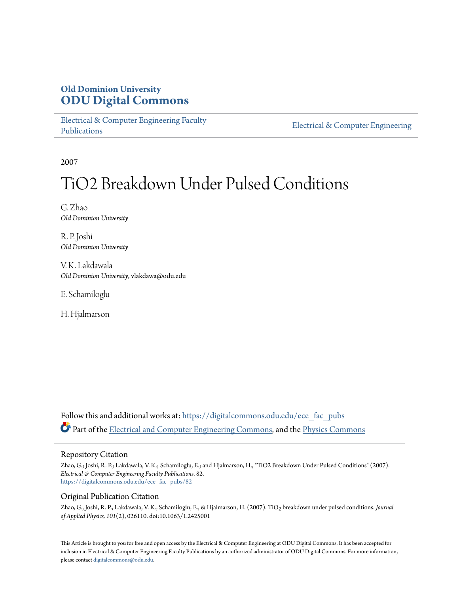## **Old Dominion University [ODU Digital Commons](https://digitalcommons.odu.edu?utm_source=digitalcommons.odu.edu%2Fece_fac_pubs%2F82&utm_medium=PDF&utm_campaign=PDFCoverPages)**

[Electrical & Computer Engineering Faculty](https://digitalcommons.odu.edu/ece_fac_pubs?utm_source=digitalcommons.odu.edu%2Fece_fac_pubs%2F82&utm_medium=PDF&utm_campaign=PDFCoverPages) [Publications](https://digitalcommons.odu.edu/ece_fac_pubs?utm_source=digitalcommons.odu.edu%2Fece_fac_pubs%2F82&utm_medium=PDF&utm_campaign=PDFCoverPages)

[Electrical & Computer Engineering](https://digitalcommons.odu.edu/ece?utm_source=digitalcommons.odu.edu%2Fece_fac_pubs%2F82&utm_medium=PDF&utm_campaign=PDFCoverPages)

2007

# TiO2 Breakdown Under Pulsed Conditions

G. Zhao *Old Dominion University*

R. P. Joshi *Old Dominion University*

V. K. Lakdawala *Old Dominion University*, vlakdawa@odu.edu

E. Schamiloglu

H. Hjalmarson

Follow this and additional works at: [https://digitalcommons.odu.edu/ece\\_fac\\_pubs](https://digitalcommons.odu.edu/ece_fac_pubs?utm_source=digitalcommons.odu.edu%2Fece_fac_pubs%2F82&utm_medium=PDF&utm_campaign=PDFCoverPages) Part of the [Electrical and Computer Engineering Commons](http://network.bepress.com/hgg/discipline/266?utm_source=digitalcommons.odu.edu%2Fece_fac_pubs%2F82&utm_medium=PDF&utm_campaign=PDFCoverPages), and the [Physics Commons](http://network.bepress.com/hgg/discipline/193?utm_source=digitalcommons.odu.edu%2Fece_fac_pubs%2F82&utm_medium=PDF&utm_campaign=PDFCoverPages)

#### Repository Citation

Zhao, G.; Joshi, R. P.; Lakdawala, V. K.; Schamiloglu, E.; and Hjalmarson, H., "TiO2 Breakdown Under Pulsed Conditions" (2007). *Electrical & Computer Engineering Faculty Publications*. 82. [https://digitalcommons.odu.edu/ece\\_fac\\_pubs/82](https://digitalcommons.odu.edu/ece_fac_pubs/82?utm_source=digitalcommons.odu.edu%2Fece_fac_pubs%2F82&utm_medium=PDF&utm_campaign=PDFCoverPages)

#### Original Publication Citation

Zhao, G., Joshi, R. P., Lakdawala, V. K., Schamiloglu, E., & Hjalmarson, H. (2007). TiO2 breakdown under pulsed conditions. *Journal of Applied Physics, 101*(2), 026110. doi:10.1063/1.2425001

This Article is brought to you for free and open access by the Electrical & Computer Engineering at ODU Digital Commons. It has been accepted for inclusion in Electrical & Computer Engineering Faculty Publications by an authorized administrator of ODU Digital Commons. For more information, please contact [digitalcommons@odu.edu](mailto:digitalcommons@odu.edu).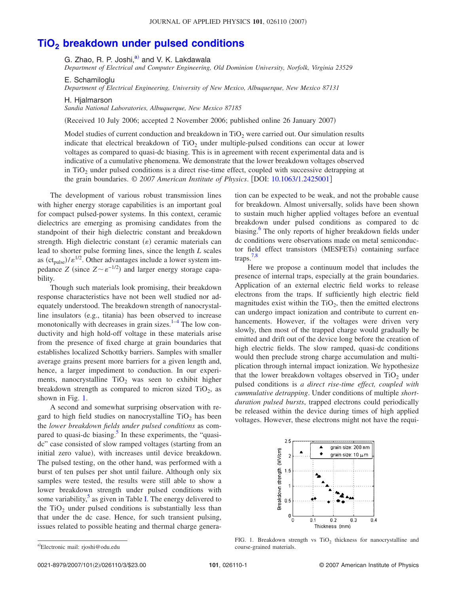### **TiO2 [breakdown under pulsed conditions](http://dx.doi.org/10.1063/1.2425001)**

G. Zhao, R. P. Joshi,<sup>a)</sup> and V. K. Lakdawala

*Department of Electrical and Computer Engineering, Old Dominion University, Norfolk, Virginia 23529*

E. Schamiloglu

*Department of Electrical Engineering, University of New Mexico, Albuquerque, New Mexico 87131*

H. Hialmarson

*Sandia National Laboratories, Albuquerque, New Mexico 87185*

Received 10 July 2006; accepted 2 November 2006; published online 26 January 2007-

Model studies of current conduction and breakdown in  $TiO<sub>2</sub>$  were carried out. Our simulation results indicate that electrical breakdown of  $TiO<sub>2</sub>$  under multiple-pulsed conditions can occur at lower voltages as compared to quasi-dc biasing. This is in agreement with recent experimental data and is indicative of a cumulative phenomena. We demonstrate that the lower breakdown voltages observed in  $TiO<sub>2</sub>$  under pulsed conditions is a direct rise-time effect, coupled with successive detrapping at the grain boundaries. © *2007 American Institute of Physics*. DOI: [10.1063/1.2425001](http://dx.doi.org/10.1063/1.2425001)

The development of various robust transmission lines with higher energy storage capabilities is an important goal for compact pulsed-power systems. In this context, ceramic dielectrics are emerging as promising candidates from the standpoint of their high dielectric constant and breakdown strength. High dielectric constant  $(\varepsilon)$  ceramic materials can lead to shorter pulse forming lines, since the length *L* scales as  $(ct_{pulse})/\varepsilon^{1/2}$ . Other advantages include a lower system impedance *Z* (since  $Z \sim \varepsilon^{-1/2}$ ) and larger energy storage capability.

Though such materials look promising, their breakdown response characteristics have not been well studied nor adequately understood. The breakdown strength of nanocrystalline insulators (e.g., titania) has been observed to increase monotonically with decreases in grain sizes. $1-4$  $1-4$  The low conductivity and high hold-off voltage in these materials arise from the presence of fixed charge at grain boundaries that establishes localized Schottky barriers. Samples with smaller average grains present more barriers for a given length and, hence, a larger impediment to conduction. In our experiments, nanocrystalline  $TiO<sub>2</sub>$  was seen to exhibit higher breakdown strength as compared to micron sized  $TiO<sub>2</sub>$ , as shown in Fig. [1.](#page-1-1)

A second and somewhat surprising observation with regard to high field studies on nanocrystalline  $TiO<sub>2</sub>$  has been the *lower breakdown fields under pulsed conditions* as compared to quasi-dc biasing. $5$  In these experiments, the "quasidc" case consisted of slow ramped voltages (starting from an initial zero value), with increases until device breakdown. The pulsed testing, on the other hand, was performed with a burst of ten pulses per shot until failure. Although only six samples were tested, the results were still able to show a lower breakdown strength under pulsed conditions with some variability, $5$  as given in Table [I.](#page-2-0) The energy delivered to the  $TiO<sub>2</sub>$  under pulsed conditions is substantially less than that under the dc case. Hence, for such transient pulsing, issues related to possible heating and thermal charge generation can be expected to be weak, and not the probable cause for breakdown. Almost universally, solids have been shown to sustain much higher applied voltages before an eventual breakdown under pulsed conditions as compared to dc biasing.<sup>6</sup> The only reports of higher breakdown fields under dc conditions were observations made on metal semiconductor field effect transistors (MESFETs) containing surface traps. $7,8$  $7,8$ 

Here we propose a continuum model that includes the presence of internal traps, especially at the grain boundaries. Application of an external electric field works to release electrons from the traps. If sufficiently high electric field magnitudes exist within the  $TiO<sub>2</sub>$ , then the emitted electrons can undergo impact ionization and contribute to current enhancements. However, if the voltages were driven very slowly, then most of the trapped charge would gradually be emitted and drift out of the device long before the creation of high electric fields. The slow ramped, quasi-dc conditions would then preclude strong charge accumulation and multiplication through internal impact ionization. We hypothesize that the lower breakdown voltages observed in  $TiO<sub>2</sub>$  under pulsed conditions is *a direct rise-time effect, coupled with cummulative detrapping*. Under conditions of multiple *shortduration pulsed bursts*, trapped electrons could periodically be released within the device during times of high applied voltages. However, these electrons might not have the requi-

<span id="page-1-1"></span>

FIG. 1. Breakdown strength vs  $TiO<sub>2</sub>$  thickness for nanocrystalline and course-grained materials.

0021-8979/2007/101(2)/026110/3/\$23.00

<span id="page-1-0"></span>a)Electronic mail: rjoshi@odu.edu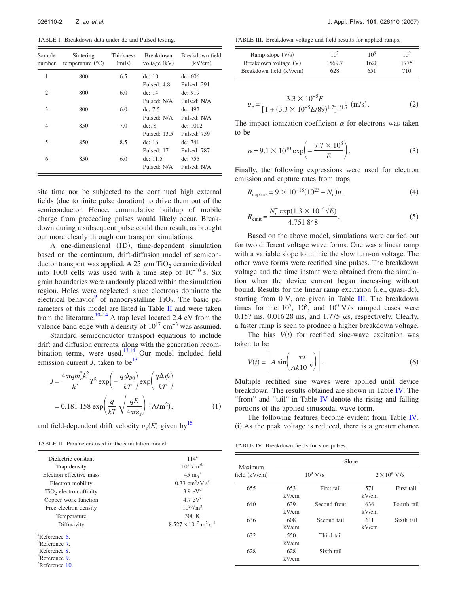<span id="page-2-0"></span>TABLE I. Breakdown data under dc and Pulsed testing.

| Sample<br>number | Sintering<br>temperature $(^{\circ}C)$ | <b>Thickness</b><br>(mils) | <b>Breakdown</b><br>voltage $(kV)$ | Breakdown field<br>(kV/cm) |
|------------------|----------------------------------------|----------------------------|------------------------------------|----------------------------|
| 1                | 800                                    | 6.5                        | dc: $10$                           | dc: 606                    |
|                  |                                        |                            | Pulsed: 4.8                        | Pulsed: 291                |
| $\overline{c}$   | 800                                    | 6.0                        | dc: $14$                           | dc: 919                    |
|                  |                                        |                            | Pulsed: N/A                        | Pulsed: N/A                |
| 3                | 800                                    | 6.0                        | de: $7.5$                          | dc: $492$                  |
|                  |                                        |                            | Pulsed: N/A                        | Pulsed: N/A                |
| $\overline{4}$   | 850                                    | 7.0                        | dc:18                              | dc: 1012                   |
|                  |                                        |                            | Pulsed: 13.5                       | Pulsed: 759                |
| 5                | 850                                    | 8.5                        | de: 16                             | dc: $741$                  |
|                  |                                        |                            | Pulsed: 17                         | Pulsed: 787                |
| 6                | 850                                    | 6.0                        | dc: $11.5$                         | dc: $755$                  |
|                  |                                        |                            | Pulsed: N/A                        | Pulsed: N/A                |

site time nor be subjected to the continued high external fields (due to finite pulse duration) to drive them out of the semiconductor. Hence, cummulative buildup of mobile charge from preceeding pulses would likely occur. Breakdown during a subsequent pulse could then result, as brought out more clearly through our transport simulations.

A one-dimensional (1D), time-dependent simulation based on the continuum, drift-diffusion model of semiconductor transport was applied. A 25  $\mu$ m TiO<sub>2</sub> ceramic divided into 1000 cells was used with a time step of 10−10 s. Six grain boundaries were randomly placed within the simulation region. Holes were neglected, since electrons dominate the electrical behavior<sup>9</sup> of nanocrystalline TiO<sub>2</sub>. The basic parameters of this model are listed in Table [II](#page-2-1) and were taken from the literature.<sup>10–[14](#page-3-8)</sup> A trap level located 2.4 eV from the valence band edge with a density of  $10^{17}$  cm<sup>-3</sup> was assumed.

Standard semiconductor transport equations to include drift and diffusion currents, along with the generation recombination terms, were used. $13,14$  $13,14$  Our model included field emission current *J*, taken to be<sup>13</sup>

$$
J = \frac{4\pi q m_n^* k^2}{h^3} T^2 \exp\left(-\frac{q \phi_{B0}}{kT}\right) \exp\left(\frac{q \Delta \phi}{kT}\right)
$$
  
= 0.181 158 exp $\left(\frac{q}{kT} \sqrt{\frac{qE}{4\pi \epsilon_s}}\right)$  (A/m<sup>2</sup>), (1)

and field-dependent drift velocity  $v_e(E)$  given by  $15$ 

<span id="page-2-1"></span>TABLE II. Parameters used in the simulation model.

| Dielectric constant        | $114^a$                                               |  |  |
|----------------------------|-------------------------------------------------------|--|--|
| Trap density               | $10^{23}/m^{3b}$                                      |  |  |
| Election effective mass    | 45 m <sup>a</sup>                                     |  |  |
| Electron mobility          | $0.33$ cm <sup>2</sup> /V s <sup>c</sup>              |  |  |
| $TiO2$ electron affinity   | 3.9 eV <sup>d</sup>                                   |  |  |
| Copper work function       | $4.7$ eV <sup>e</sup>                                 |  |  |
| Free-electron density      | $10^{20}/m^3$                                         |  |  |
| Temperature                | 300 K                                                 |  |  |
| Diffusivity                | $8.527 \times 10^{-7}$ m <sup>2</sup> s <sup>-1</sup> |  |  |
| $\sqrt[3]{8}$ Reference 6. |                                                       |  |  |
| <sup>b</sup> Reference 7.  |                                                       |  |  |
| <sup>c</sup> Reference 8.  |                                                       |  |  |
| Reference 9.               |                                                       |  |  |
| <sup>e</sup> Reference 10. |                                                       |  |  |

<span id="page-2-2"></span>TABLE III. Breakdown voltage and field results for applied ramps.

| Ramp slope $(V/s)$      | $10^{7}$ | $10^{8}$ | $10^{9}$ |
|-------------------------|----------|----------|----------|
| Breakdown voltage (V)   | 1569.7   | 1628     | 1775     |
| Breakdown field (kV/cm) | 628      | 651      | 710      |

$$
v_e = \frac{3.3 \times 10^{-5} E}{[1 + (3.3 \times 10^{-5} E/89)^{1.7}]^{1/1.7}} \text{ (m/s)}.
$$
 (2)

The impact ionization coefficient  $\alpha$  for electrons was taken to be

$$
\alpha = 9.1 \times 10^{10} \exp\left(-\frac{7.7 \times 10^8}{E}\right). \tag{3}
$$

Finally, the following expressions were used for electron emission and capture rates from traps:

$$
R_{\text{capture}} = 9 \times 10^{-18} (10^{23} - N_t) n,\tag{4}
$$

$$
R_{\text{emit}} = \frac{N_r^- \exp(1.3 \times 10^{-4} \sqrt{E})}{4.751\,848}.
$$
 (5)

Based on the above model, simulations were carried out for two different voltage wave forms. One was a linear ramp with a variable slope to mimic the slow turn-on voltage. The other wave forms were rectified sine pulses. The breakdown voltage and the time instant were obtained from the simulation when the device current began increasing without bound. Results for the linear ramp excitation (i.e., quasi-dc), starting from 0 V, are given in Table [III.](#page-2-2) The breakdown times for the  $10^7$ ,  $10^8$ , and  $10^9$  V/s ramped cases were 0.157 ms, 0.016 28 ms, and 1.775  $\mu$ s, respectively. Clearly, a faster ramp is seen to produce a higher breakdown voltage.

The bias  $V(t)$  for rectified sine-wave excitation was taken to be

<span id="page-2-4"></span>
$$
V(t) = \left| A \sin\left(\frac{\pi t}{Ak10^{-9}}\right) \right|.
$$
 (6)

Multiple rectified sine waves were applied until device breakdown. The results obtained are shown in Table [IV.](#page-2-3) The "front" and "tail" in Table [IV](#page-2-3) denote the rising and falling portions of the applied sinusoidal wave form.

The following features become evident from Table [IV.](#page-2-3) (i) As the peak voltage is reduced, there is a greater chance

<span id="page-2-3"></span>TABLE IV. Breakdown fields for sine pulses.

| Maximum       | Slope        |              |                     |             |  |
|---------------|--------------|--------------|---------------------|-------------|--|
| field (kV/cm) | $10^9$ V/s   |              | $2 \times 10^9$ V/s |             |  |
| 655           | 653<br>kV/cm | First tail   | 571<br>kV/cm        | First tail  |  |
| 640           | 639<br>kV/cm | Second front | 636<br>kV/cm        | Fourth tail |  |
| 636           | 608<br>kV/cm | Second tail  | 611<br>kV/cm        | Sixth tail  |  |
| 632           | 550<br>kV/cm | Third tail   |                     |             |  |
| 628           | 628<br>kV/cm | Sixth tail   |                     |             |  |